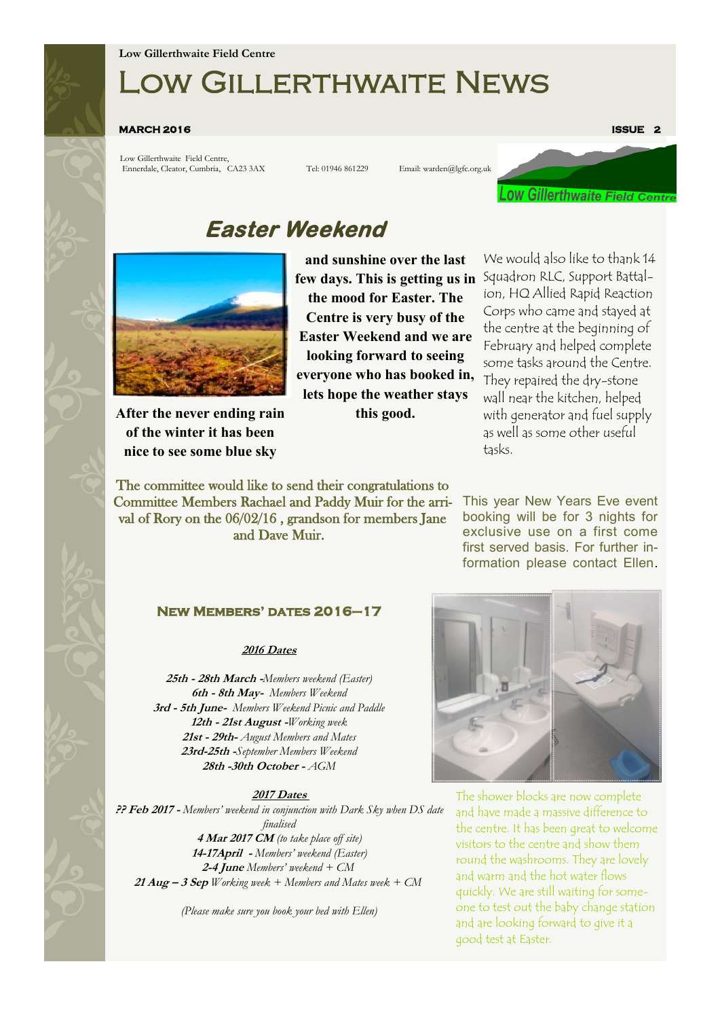# Low Gillerthwaite News

#### **MARCH 2016 ISSUE 2**

Low Gillerthwaite Field Centre, Ennerdale, Cleator, Cumbria, CA23 3AX Tel: 01946 861229 Email: warden@lgfc.org.uk



## **Easter Weekend**



**After the never ending rain of the winter it has been nice to see some blue sky** 

**and sunshine over the last few days. This is getting us in the mood for Easter. The Centre is very busy of the Easter Weekend and we are looking forward to seeing everyone who has booked in, lets hope the weather stays this good.**

The committee would like to send their congratulations to Committee Members Rachael and Paddy Muir for the arrival of Rory on the 06/02/16 , grandson for members Jane and Dave Muir.

We would also like to thank 14 Squadron RLC, Support Battalion, HQ Allied Rapid Reaction Corps who came and stayed at the centre at the beginning of February and helped complete some tasks around the Centre. They repaired the dry-stone wall near the kitchen, helped with generator and fuel supply as well as some other useful tasks.

This year New Years Eve event booking will be for 3 nights for exclusive use on a first come first served basis. For further information please contact Ellen.

## **New Members' dates 2016–17**

#### **2016 Dates**

**25th - 28th March -***Members weekend (Easter)* **6th - 8th May-** *Members Weekend* **3rd - 5th June-** *Members Weekend Picnic and Paddle* **12th - 21st August -***Working week* **21st - 29th-** *August Members and Mates* **23rd-25th -***September Members Weekend* **28th -30th October -** *AGM*

### **2017 Dates**

**?? Feb 2017 -** *Members' weekend in conjunction with Dark Sky when DS date finalised* **4 Mar 2017 CM** *(to take place off site)* **14-17April -** *Members' weekend (Easter)* **2-4 June** *Members' weekend + CM* **21 Aug – 3 Sep** *Working week + Members and Mates week + CM*

*(Please make sure you book your bed with Ellen)*



The shower blocks are now complete and have made a massive difference to the centre. It has been great to welcome visitors to the centre and show them round the washrooms. They are lovely and warm and the hot water flows quickly. We are still waiting for someone to test out the baby change station and are looking forward to give it a good test at Easter.